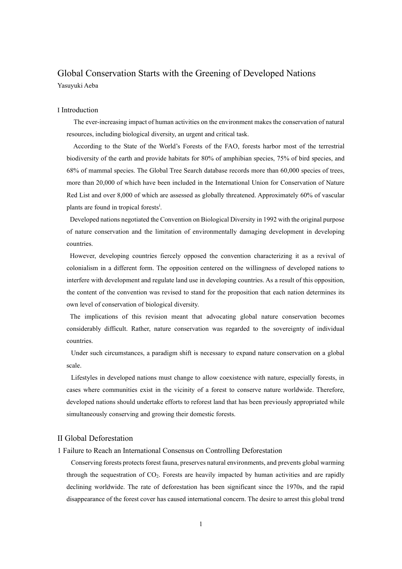# Global Conservation Starts with the Greening of Developed Nations Yasuyuki Aeba

#### I Introduction

The ever-increasing impact of human activities on the environment makes the conservation of natural resources, including biological diversity, an urgent and critical task.

According to the State of the World's Forests of the FAO, forests harbor most of the terrestrial biodiversity of the earth and provide habitats for 80% of amphibian species, 75% of bird species, and 68% of mammal species. The Global Tree Search database records more than 60,000 species of trees, more than 20,000 of which have been included in the International Union for Conservation of Nature Red List and over 8,000 of which are assessed as globally threatened. Approximately 60% of vascular plants are found in tropical forests<sup>i</sup>.

Developed nations negotiated the Convention on Biological Diversity in 1992 with the original purpose of nature conservation and the limitation of environmentally damaging development in developing countries.

However, developing countries fiercely opposed the convention characterizing it as a revival of colonialism in a different form. The opposition centered on the willingness of developed nations to interfere with development and regulate land use in developing countries. As a result of this opposition, the content of the convention was revised to stand for the proposition that each nation determines its own level of conservation of biological diversity.

The implications of this revision meant that advocating global nature conservation becomes considerably difficult. Rather, nature conservation was regarded to the sovereignty of individual countries.

Under such circumstances, a paradigm shift is necessary to expand nature conservation on a global scale.

Lifestyles in developed nations must change to allow coexistence with nature, especially forests, in cases where communities exist in the vicinity of a forest to conserve nature worldwide. Therefore, developed nations should undertake efforts to reforest land that has been previously appropriated while simultaneously conserving and growing their domestic forests.

#### II Global Deforestation

1 Failure to Reach an International Consensus on Controlling Deforestation

Conserving forests protects forest fauna, preserves natural environments, and prevents global warming through the sequestration of CO2. Forests are heavily impacted by human activities and are rapidly declining worldwide. The rate of deforestation has been significant since the 1970s, and the rapid disappearance of the forest cover has caused international concern. The desire to arrest this global trend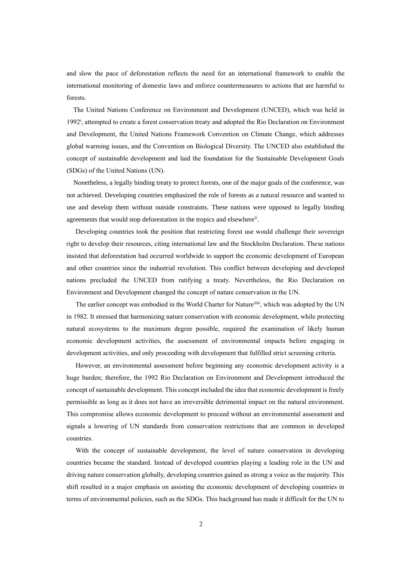and slow the pace of deforestation reflects the need for an international framework to enable the international monitoring of domestic laws and enforce countermeasures to actions that are harmful to forests.

The United Nations Conference on Environment and Development (UNCED), which was held in 1992<sup>i</sup> , attempted to create a forest conservation treaty and adopted the Rio Declaration on Environment and Development, the United Nations Framework Convention on Climate Change, which addresses global warming issues, and the Convention on Biological Diversity. The UNCED also established the concept of sustainable development and laid the foundation for the Sustainable Development Goals (SDGs) of the United Nations (UN).

Nonetheless, a legally binding treaty to protect forests, one of the major goals of the conference, was not achieved. Developing countries emphasized the role of forests as a natural resource and wanted to use and develop them without outside constraints. These nations were opposed to legally binding agreements that would stop deforestation in the tropics and elsewhere<sup>ii</sup>.

Developing countries took the position that restricting forest use would challenge their sovereign right to develop their resources, citing international law and the Stockholm Declaration. These nations insisted that deforestation had occurred worldwide to support the economic development of European and other countries since the industrial revolution. This conflict between developing and developed nations precluded the UNCED from ratifying a treaty. Nevertheless, the Rio Declaration on Environment and Development changed the concept of nature conservation in the UN.

The earlier concept was embodied in the World Charter for Natureiiiii, which was adopted by the UN in 1982. It stressed that harmonizing nature conservation with economic development, while protecting natural ecosystems to the maximum degree possible, required the examination of likely human economic development activities, the assessment of environmental impacts before engaging in development activities, and only proceeding with development that fulfilled strict screening criteria.

However, an environmental assessment before beginning any economic development activity is a huge burden; therefore, the 1992 Rio Declaration on Environment and Development introduced the concept of sustainable development. This concept included the idea that economic development is freely permissible as long as it does not have an irreversible detrimental impact on the natural environment. This compromise allows economic development to proceed without an environmental assessment and signals a lowering of UN standards from conservation restrictions that are common in developed countries.

With the concept of sustainable development, the level of nature conservation in developing countries became the standard. Instead of developed countries playing a leading role in the UN and driving nature conservation globally, developing countries gained as strong a voice as the majority. This shift resulted in a major emphasis on assisting the economic development of developing countries in terms of environmental policies, such as the SDGs. This background has made it difficult for the UN to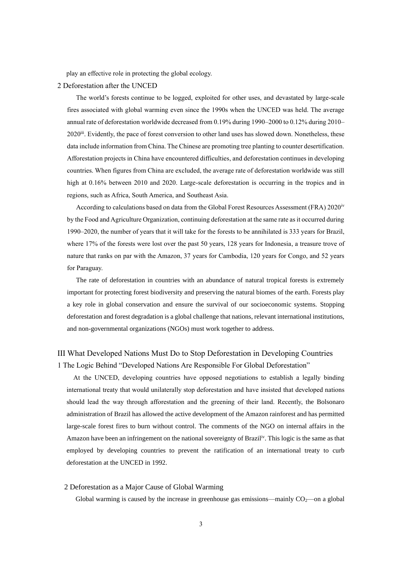play an effective role in protecting the global ecology.

## 2 Deforestation after the UNCED

The world's forests continue to be logged, exploited for other uses, and devastated by large-scale fires associated with global warming even since the 1990s when the UNCED was held. The average annual rate of deforestation worldwide decreased from 0.19% during 1990–2000 to 0.12% during 2010– 2020<sup>ii</sup>. Evidently, the pace of forest conversion to other land uses has slowed down. Nonetheless, these data include information from China. The Chinese are promoting tree planting to counter desertification. Afforestation projects in China have encountered difficulties, and deforestation continues in developing countries. When figures from China are excluded, the average rate of deforestation worldwide was still high at 0.16% between 2010 and 2020. Large-scale deforestation is occurring in the tropics and in regions, such as Africa, South America, and Southeast Asia.

According to calculations based on data from the Global Forest Resources Assessment (FRA) 2020<sup>iv</sup> by the Food and Agriculture Organization, continuing deforestation at the same rate as it occurred during 1990–2020, the number of years that it will take for the forests to be annihilated is 333 years for Brazil, where 17% of the forests were lost over the past 50 years, 128 years for Indonesia, a treasure trove of nature that ranks on par with the Amazon, 37 years for Cambodia, 120 years for Congo, and 52 years for Paraguay.

The rate of deforestation in countries with an abundance of natural tropical forests is extremely important for protecting forest biodiversity and preserving the natural biomes of the earth. Forests play a key role in global conservation and ensure the survival of our socioeconomic systems. Stopping deforestation and forest degradation is a global challenge that nations, relevant international institutions, and non-governmental organizations (NGOs) must work together to address.

## III What Developed Nations Must Do to Stop Deforestation in Developing Countries 1 The Logic Behind "Developed Nations Are Responsible For Global Deforestation"

At the UNCED, developing countries have opposed negotiations to establish a legally binding international treaty that would unilaterally stop deforestation and have insisted that developed nations should lead the way through afforestation and the greening of their land. Recently, the Bolsonaro administration of Brazil has allowed the active development of the Amazon rainforest and has permitted large-scale forest fires to burn without control. The comments of the NGO on internal affairs in the Amazon have been an infringement on the national sovereignty of Brazil<sup>iv</sup>. This logic is the same as that employed by developing countries to prevent the ratification of an international treaty to curb deforestation at the UNCED in 1992.

#### 2 Deforestation as a Major Cause of Global Warming

Global warming is caused by the increase in greenhouse gas emissions—mainly  $CO<sub>2</sub>$ —on a global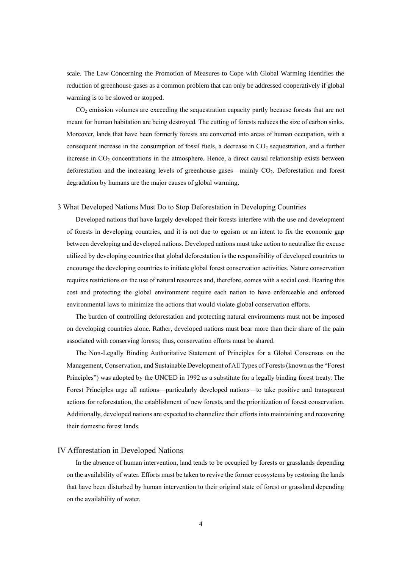scale. The Law Concerning the Promotion of Measures to Cope with Global Warming identifies the reduction of greenhouse gases as a common problem that can only be addressed cooperatively if global warming is to be slowed or stopped.

 $CO<sub>2</sub>$  emission volumes are exceeding the sequestration capacity partly because forests that are not meant for human habitation are being destroyed. The cutting of forests reduces the size of carbon sinks. Moreover, lands that have been formerly forests are converted into areas of human occupation, with a consequent increase in the consumption of fossil fuels, a decrease in  $CO<sub>2</sub>$  sequestration, and a further increase in  $CO<sub>2</sub>$  concentrations in the atmosphere. Hence, a direct causal relationship exists between deforestation and the increasing levels of greenhouse gases—mainly CO2. Deforestation and forest degradation by humans are the major causes of global warming.

#### 3 What Developed Nations Must Do to Stop Deforestation in Developing Countries

Developed nations that have largely developed their forests interfere with the use and development of forests in developing countries, and it is not due to egoism or an intent to fix the economic gap between developing and developed nations. Developed nations must take action to neutralize the excuse utilized by developing countries that global deforestation is the responsibility of developed countries to encourage the developing countries to initiate global forest conservation activities. Nature conservation requires restrictions on the use of natural resources and, therefore, comes with a social cost. Bearing this cost and protecting the global environment require each nation to have enforceable and enforced environmental laws to minimize the actions that would violate global conservation efforts.

The burden of controlling deforestation and protecting natural environments must not be imposed on developing countries alone. Rather, developed nations must bear more than their share of the pain associated with conserving forests; thus, conservation efforts must be shared.

The Non-Legally Binding Authoritative Statement of Principles for a Global Consensus on the Management, Conservation, and Sustainable Development of All Types of Forests (known as the "Forest Principles") was adopted by the UNCED in 1992 as a substitute for a legally binding forest treaty. The Forest Principles urge all nations—particularly developed nations—to take positive and transparent actions for reforestation, the establishment of new forests, and the prioritization of forest conservation. Additionally, developed nations are expected to channelize their efforts into maintaining and recovering their domestic forest lands.

#### IV Afforestation in Developed Nations

In the absence of human intervention, land tends to be occupied by forests or grasslands depending on the availability of water. Efforts must be taken to revive the former ecosystems by restoring the lands that have been disturbed by human intervention to their original state of forest or grassland depending on the availability of water.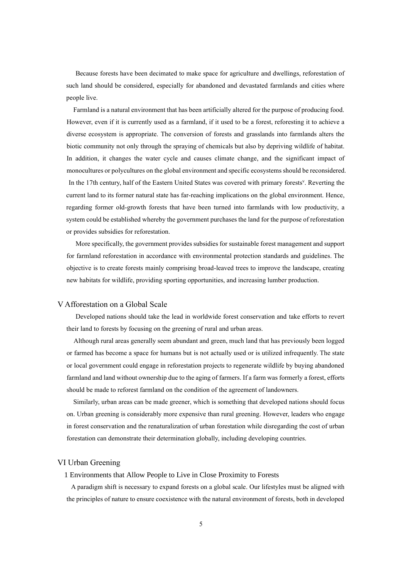Because forests have been decimated to make space for agriculture and dwellings, reforestation of such land should be considered, especially for abandoned and devastated farmlands and cities where people live.

Farmland is a natural environment that has been artificially altered for the purpose of producing food. However, even if it is currently used as a farmland, if it used to be a forest, reforesting it to achieve a diverse ecosystem is appropriate. The conversion of forests and grasslands into farmlands alters the biotic community not only through the spraying of chemicals but also by depriving wildlife of habitat. In addition, it changes the water cycle and causes climate change, and the significant impact of monocultures or polycultures on the global environment and specific ecosystems should be reconsidered. In the 17th century, half of the Eastern United States was covered with primary forests<sup>y</sup>. Reverting the current land to its former natural state has far-reaching implications on the global environment. Hence, regarding former old-growth forests that have been turned into farmlands with low productivity, a system could be established whereby the government purchases the land for the purpose of reforestation or provides subsidies for reforestation.

More specifically, the government provides subsidies for sustainable forest management and support for farmland reforestation in accordance with environmental protection standards and guidelines. The objective is to create forests mainly comprising broad-leaved trees to improve the landscape, creating new habitats for wildlife, providing sporting opportunities, and increasing lumber production.

#### V Afforestation on a Global Scale

Developed nations should take the lead in worldwide forest conservation and take efforts to revert their land to forests by focusing on the greening of rural and urban areas.

Although rural areas generally seem abundant and green, much land that has previously been logged or farmed has become a space for humans but is not actually used or is utilized infrequently. The state or local government could engage in reforestation projects to regenerate wildlife by buying abandoned farmland and land without ownership due to the aging of farmers. If a farm was formerly a forest, efforts should be made to reforest farmland on the condition of the agreement of landowners.

Similarly, urban areas can be made greener, which is something that developed nations should focus on. Urban greening is considerably more expensive than rural greening. However, leaders who engage in forest conservation and the renaturalization of urban forestation while disregarding the cost of urban forestation can demonstrate their determination globally, including developing countries.

## VI Urban Greening

1 Environments that Allow People to Live in Close Proximity to Forests

A paradigm shift is necessary to expand forests on a global scale. Our lifestyles must be aligned with the principles of nature to ensure coexistence with the natural environment of forests, both in developed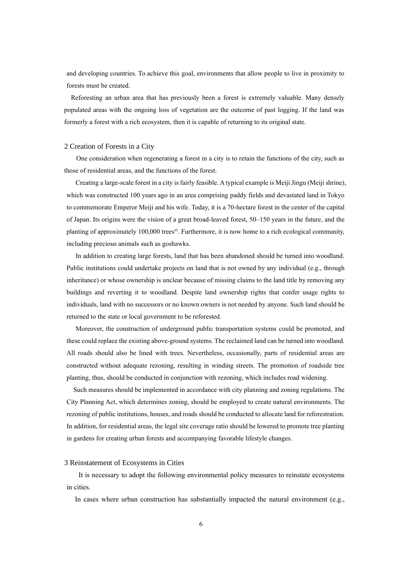and developing countries. To achieve this goal, environments that allow people to live in proximity to forests must be created.

Reforesting an urban area that has previously been a forest is extremely valuable. Many densely populated areas with the ongoing loss of vegetation are the outcome of past logging. If the land was formerly a forest with a rich ecosystem, then it is capable of returning to its original state.

#### 2 Creation of Forests in a City

One consideration when regenerating a forest in a city is to retain the functions of the city, such as those of residential areas, and the functions of the forest.

Creating a large-scale forest in a city is fairly feasible. A typical example is Meiji Jingu (Meiji shrine), which was constructed 100 years ago in an area comprising paddy fields and devastated land in Tokyo to commemorate Emperor Meiji and his wife. Today, it is a 70-hectare forest in the center of the capital of Japan. Its origins were the vision of a great broad-leaved forest, 50–150 years in the future, and the planting of approximately 100,000 trees<sup>vi</sup>. Furthermore, it is now home to a rich ecological community, including precious animals such as goshawks.

In addition to creating large forests, land that has been abandoned should be turned into woodland. Public institutions could undertake projects on land that is not owned by any individual (e.g., through inheritance) or whose ownership is unclear because of missing claims to the land title by removing any buildings and reverting it to woodland. Despite land ownership rights that confer usage rights to individuals, land with no successors or no known owners is not needed by anyone. Such land should be returned to the state or local government to be reforested.

Moreover, the construction of underground public transportation systems could be promoted, and these could replace the existing above-ground systems. The reclaimed land can be turned into woodland. All roads should also be lined with trees. Nevertheless, occasionally, parts of residential areas are constructed without adequate rezoning, resulting in winding streets. The promotion of roadside tree planting, thus, should be conducted in conjunction with rezoning, which includes road widening.

Such measures should be implemented in accordance with city planning and zoning regulations. The City Planning Act, which determines zoning, should be employed to create natural environments. The rezoning of public institutions, houses, and roads should be conducted to allocate land for reforestration. In addition, for residential areas, the legal site coverage ratio should be lowered to promote tree planting in gardens for creating urban forests and accompanying favorable lifestyle changes.

#### 3 Reinstatement of Ecosystems in Cities

It is necessary to adopt the following environmental policy measures to reinstate ecosystems in cities.

In cases where urban construction has substantially impacted the natural environment (e.g.,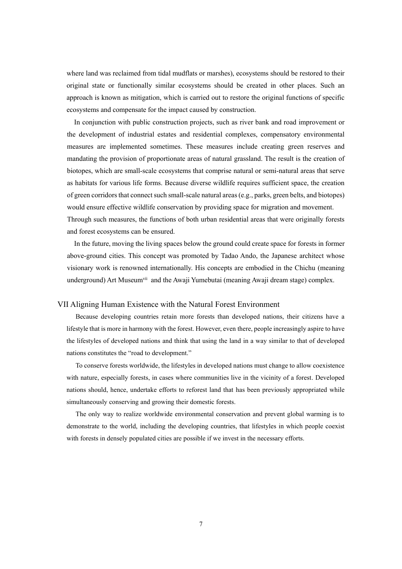where land was reclaimed from tidal mudflats or marshes), ecosystems should be restored to their original state or functionally similar ecosystems should be created in other places. Such an approach is known as mitigation, which is carried out to restore the original functions of specific ecosystems and compensate for the impact caused by construction.

In conjunction with public construction projects, such as river bank and road improvement or the development of industrial estates and residential complexes, compensatory environmental measures are implemented sometimes. These measures include creating green reserves and mandating the provision of proportionate areas of natural grassland. The result is the creation of biotopes, which are small-scale ecosystems that comprise natural or semi-natural areas that serve as habitats for various life forms. Because diverse wildlife requires sufficient space, the creation of green corridors that connect such small-scale natural areas (e.g., parks, green belts, and biotopes) would ensure effective wildlife conservation by providing space for migration and movement. Through such measures, the functions of both urban residential areas that were originally forests and forest ecosystems can be ensured.

In the future, moving the living spaces below the ground could create space for forests in former above-ground cities. This concept was promoted by Tadao Ando, the Japanese architect whose visionary work is renowned internationally. His concepts are embodied in the Chichu (meaning underground) Art Museum<sup>vii</sup> and the Awaji Yumebutai (meaning Awaji dream stage) complex.

### VII Aligning Human Existence with the Natural Forest Environment

Because developing countries retain more forests than developed nations, their citizens have a lifestyle that is more in harmony with the forest. However, even there, people increasingly aspire to have the lifestyles of developed nations and think that using the land in a way similar to that of developed nations constitutes the "road to development."

To conserve forests worldwide, the lifestyles in developed nations must change to allow coexistence with nature, especially forests, in cases where communities live in the vicinity of a forest. Developed nations should, hence, undertake efforts to reforest land that has been previously appropriated while simultaneously conserving and growing their domestic forests.

The only way to realize worldwide environmental conservation and prevent global warming is to demonstrate to the world, including the developing countries, that lifestyles in which people coexist with forests in densely populated cities are possible if we invest in the necessary efforts.